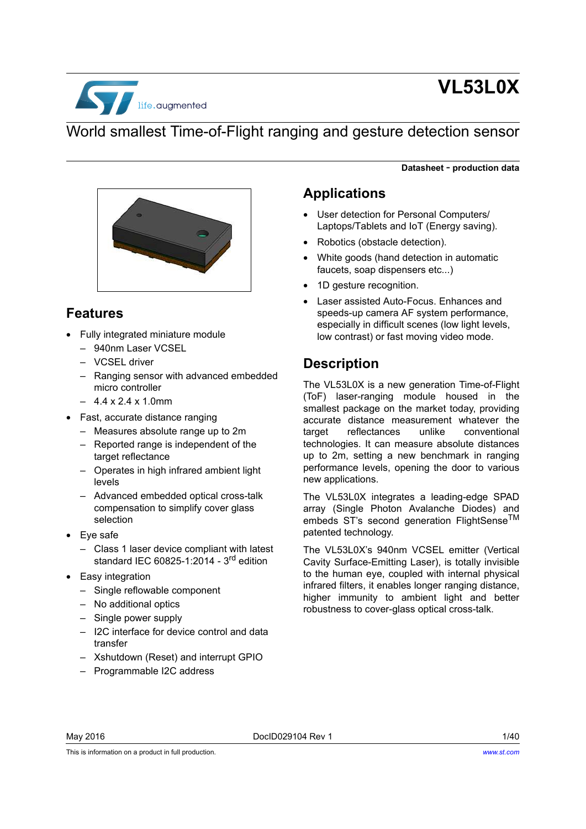

# **VL53L0X**

**Datasheet** - **production data**

## World smallest Time-of-Flight ranging and gesture detection sensor



### **Features**

- Fully integrated miniature module
	- 940nm Laser VCSEL
	- VCSEL driver
	- Ranging sensor with advanced embedded micro controller
	- $-4.4 \times 2.4 \times 1.0$ mm
- Fast, accurate distance ranging
	- Measures absolute range up to 2m
	- Reported range is independent of the target reflectance
	- Operates in high infrared ambient light levels
	- Advanced embedded optical cross-talk compensation to simplify cover glass selection
- Eye safe
	- Class 1 laser device compliant with latest standard IEC 60825-1:2014 - 3<sup>rd</sup> edition
- Easy integration
	- Single reflowable component
	- No additional optics
	- Single power supply
	- I2C interface for device control and data transfer
	- Xshutdown (Reset) and interrupt GPIO
	- Programmable I2C address

### **Applications**

- User detection for Personal Computers/ Laptops/Tablets and IoT (Energy saving).
- Robotics (obstacle detection).
- White goods (hand detection in automatic faucets, soap dispensers etc...)
- 1D gesture recognition.
- Laser assisted Auto-Focus. Enhances and speeds-up camera AF system performance, especially in difficult scenes (low light levels, low contrast) or fast moving video mode.

### **Description**

The VL53L0X is a new generation Time-of-Flight (ToF) laser-ranging module housed in the smallest package on the market today, providing accurate distance measurement whatever the target reflectances unlike conventional technologies. It can measure absolute distances up to 2m, setting a new benchmark in ranging performance levels, opening the door to various new applications.

The VL53L0X integrates a leading-edge SPAD array (Single Photon Avalanche Diodes) and embeds ST's second generation FlightSense<sup>TM</sup> patented technology.

The VL53L0X's 940nm VCSEL emitter (Vertical Cavity Surface-Emitting Laser), is totally invisible to the human eye, coupled with internal physical infrared filters, it enables longer ranging distance, higher immunity to ambient light and better robustness to cover-glass optical cross-talk.

This is information on a product in full production.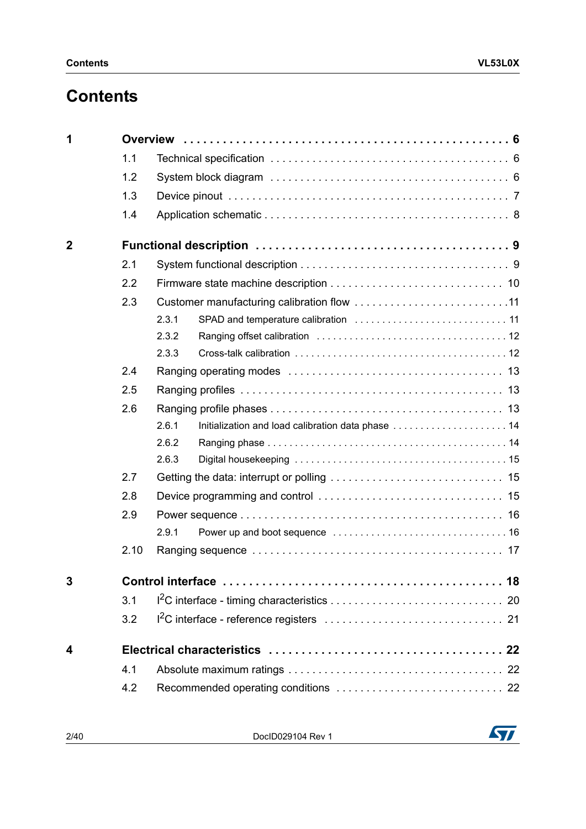# **Contents**

| 1           |      |       |                                                    |  |  |  |  |
|-------------|------|-------|----------------------------------------------------|--|--|--|--|
|             | 1.1  |       |                                                    |  |  |  |  |
|             | 1.2  |       |                                                    |  |  |  |  |
|             | 1.3  |       |                                                    |  |  |  |  |
|             | 1.4  |       |                                                    |  |  |  |  |
| $\mathbf 2$ |      |       |                                                    |  |  |  |  |
|             | 2.1  |       |                                                    |  |  |  |  |
|             | 2.2  |       |                                                    |  |  |  |  |
|             | 2.3  |       |                                                    |  |  |  |  |
|             |      | 2.3.1 |                                                    |  |  |  |  |
|             |      | 2.3.2 |                                                    |  |  |  |  |
|             |      | 2.3.3 |                                                    |  |  |  |  |
|             | 2.4  |       |                                                    |  |  |  |  |
|             | 2.5  |       |                                                    |  |  |  |  |
|             | 2.6  |       |                                                    |  |  |  |  |
|             |      | 2.6.1 | Initialization and load calibration data phase  14 |  |  |  |  |
|             |      | 2.6.2 |                                                    |  |  |  |  |
|             |      | 2.6.3 |                                                    |  |  |  |  |
|             | 2.7  |       |                                                    |  |  |  |  |
|             | 2.8  |       |                                                    |  |  |  |  |
|             | 2.9  |       |                                                    |  |  |  |  |
|             |      | 2.9.1 |                                                    |  |  |  |  |
|             | 2.10 |       |                                                    |  |  |  |  |
| 3           |      |       |                                                    |  |  |  |  |
|             | 3.1  |       |                                                    |  |  |  |  |
|             | 3.2  |       |                                                    |  |  |  |  |
| 4           |      |       |                                                    |  |  |  |  |
|             | 4.1  |       |                                                    |  |  |  |  |
|             | 4.2  |       |                                                    |  |  |  |  |

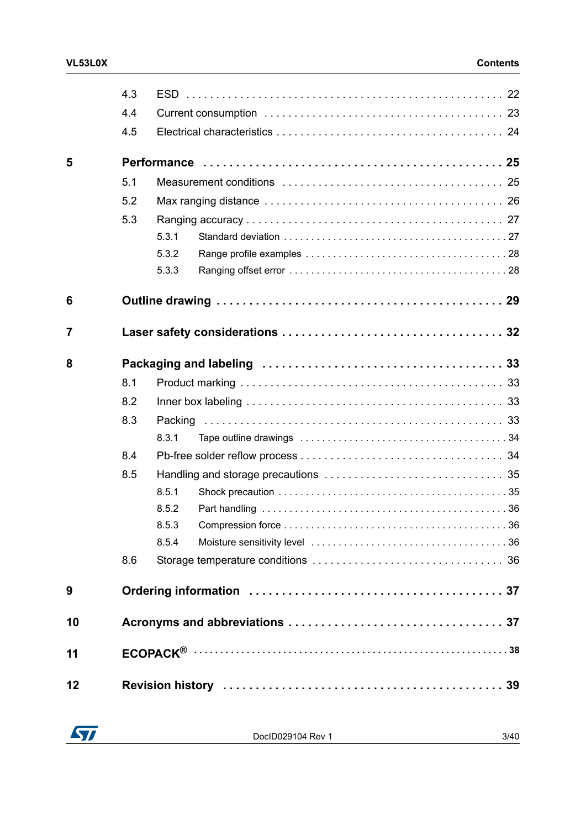|    | 4.3 |         |  |
|----|-----|---------|--|
|    | 4.4 |         |  |
|    | 4.5 |         |  |
| 5  |     |         |  |
|    | 5.1 |         |  |
|    | 5.2 |         |  |
|    | 5.3 |         |  |
|    |     | 5.3.1   |  |
|    |     | 5.3.2   |  |
|    |     | 5.3.3   |  |
| 6  |     |         |  |
| 7  |     |         |  |
| 8  |     |         |  |
|    | 8.1 |         |  |
|    | 8.2 |         |  |
|    | 8.3 | Packing |  |
|    |     | 8.3.1   |  |
|    | 8.4 |         |  |
|    | 8.5 |         |  |
|    |     | 8.5.1   |  |
|    |     | 8.5.2   |  |
|    |     | 8.5.3   |  |
|    |     | 8.5.4   |  |
|    | 8.6 |         |  |
| 9  |     |         |  |
| 10 |     |         |  |
| 11 |     |         |  |
| 12 |     |         |  |

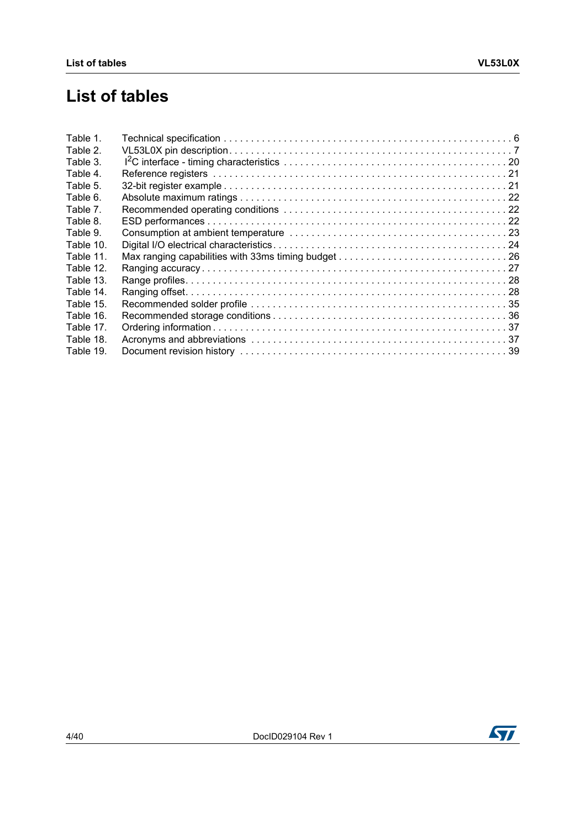# **List of tables**

| Table 1.  |  |
|-----------|--|
| Table 2.  |  |
| Table 3.  |  |
| Table 4.  |  |
| Table 5.  |  |
| Table 6.  |  |
| Table 7.  |  |
| Table 8.  |  |
| Table 9.  |  |
| Table 10. |  |
| Table 11. |  |
| Table 12. |  |
| Table 13. |  |
| Table 14. |  |
| Table 15. |  |
| Table 16. |  |
| Table 17. |  |
| Table 18. |  |
| Table 19. |  |

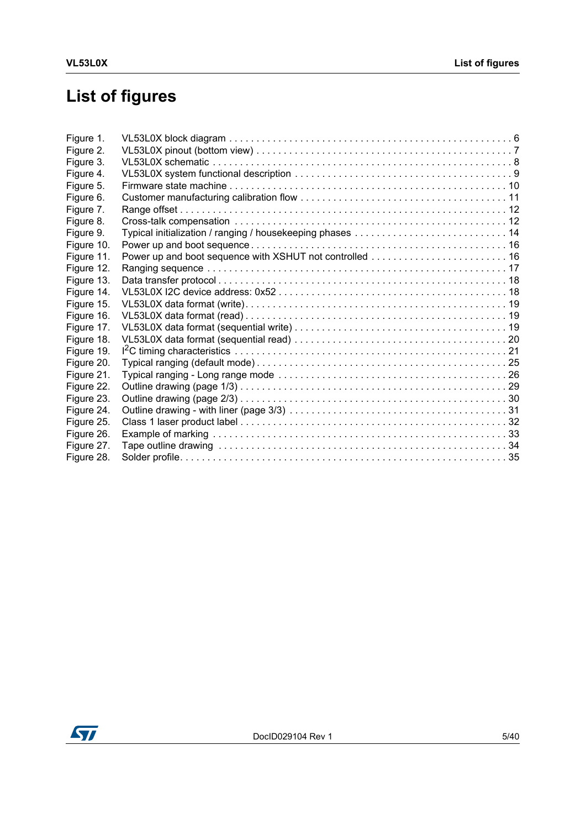# **List of figures**

| Figure 1.  |  |
|------------|--|
| Figure 2.  |  |
| Figure 3.  |  |
| Figure 4.  |  |
| Figure 5.  |  |
| Figure 6.  |  |
| Figure 7.  |  |
| Figure 8.  |  |
| Figure 9.  |  |
| Figure 10. |  |
| Figure 11. |  |
| Figure 12. |  |
| Figure 13. |  |
| Figure 14. |  |
| Figure 15. |  |
| Figure 16. |  |
| Figure 17. |  |
| Figure 18. |  |
| Figure 19. |  |
| Figure 20. |  |
| Figure 21. |  |
| Figure 22. |  |
| Figure 23. |  |
| Figure 24. |  |
| Figure 25. |  |
| Figure 26. |  |
| Figure 27. |  |
| Figure 28. |  |

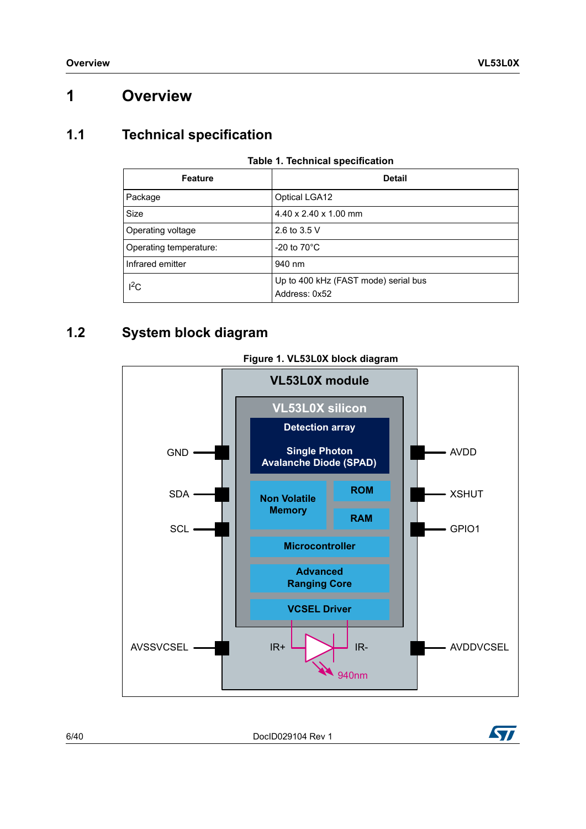## <span id="page-5-0"></span>**1 Overview**

### <span id="page-5-1"></span>**1.1 Technical specification**

<span id="page-5-3"></span>

| <b>Feature</b>         | <b>Detail</b>                                         |
|------------------------|-------------------------------------------------------|
| Package                | <b>Optical LGA12</b>                                  |
| Size                   | 4.40 x 2.40 x 1.00 mm                                 |
| Operating voltage      | 2.6 to 3.5 V                                          |
| Operating temperature: | -20 to $70^{\circ}$ C                                 |
| Infrared emitter       | 940 nm                                                |
| $I^2C$                 | Up to 400 kHz (FAST mode) serial bus<br>Address: 0x52 |

#### **Table 1. Technical specification**

## <span id="page-5-2"></span>**1.2 System block diagram**

<span id="page-5-4"></span>

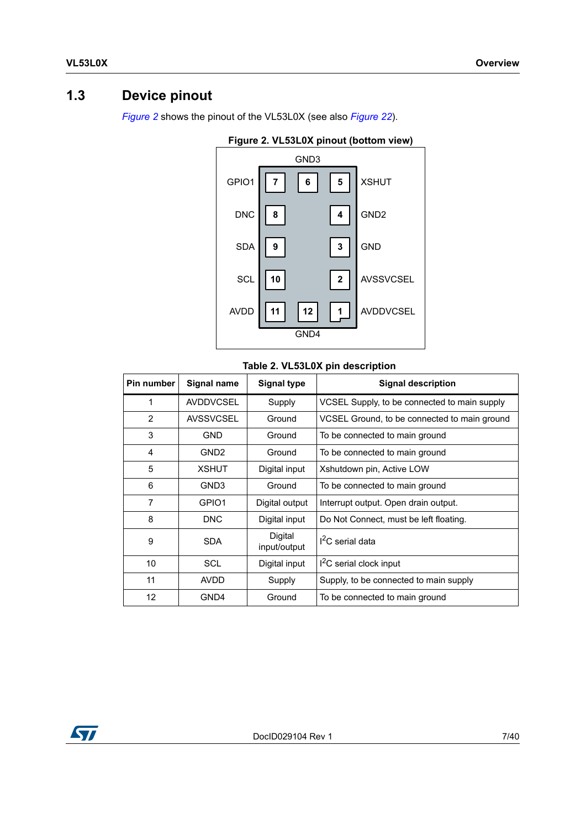## <span id="page-6-0"></span>**1.3 Device pinout**

<span id="page-6-2"></span>*[Figure](#page-6-2) 2* shows the pinout of the VL53L0X (see also *[Figure](#page-28-1) 22*).



#### **Figure 2. VL53L0X pinout (bottom view)**

#### **Table 2. VL53L0X pin description**

<span id="page-6-1"></span>

| Pin number | <b>Signal name</b> | <b>Signal type</b>      | <b>Signal description</b>                    |  |  |
|------------|--------------------|-------------------------|----------------------------------------------|--|--|
| 1          | <b>AVDDVCSEL</b>   | Supply                  | VCSEL Supply, to be connected to main supply |  |  |
| 2          | <b>AVSSVCSEL</b>   | Ground                  | VCSEL Ground, to be connected to main ground |  |  |
| 3          | <b>GND</b>         | Ground                  | To be connected to main ground               |  |  |
| 4          | GND <sub>2</sub>   | Ground                  | To be connected to main ground               |  |  |
| 5          | <b>XSHUT</b>       | Digital input           | Xshutdown pin, Active LOW                    |  |  |
| 6          | GND <sub>3</sub>   | Ground                  | To be connected to main ground               |  |  |
| 7          | GPIO1              | Digital output          | Interrupt output. Open drain output.         |  |  |
| 8          | <b>DNC</b>         | Digital input           | Do Not Connect, must be left floating.       |  |  |
| 9          | <b>SDA</b>         | Digital<br>input/output | $I2C$ serial data                            |  |  |
| 10         | <b>SCL</b>         | Digital input           | $12C$ serial clock input                     |  |  |
| 11         | <b>AVDD</b>        | Supply                  | Supply, to be connected to main supply       |  |  |
| 12         | GND4               | Ground                  | To be connected to main ground               |  |  |

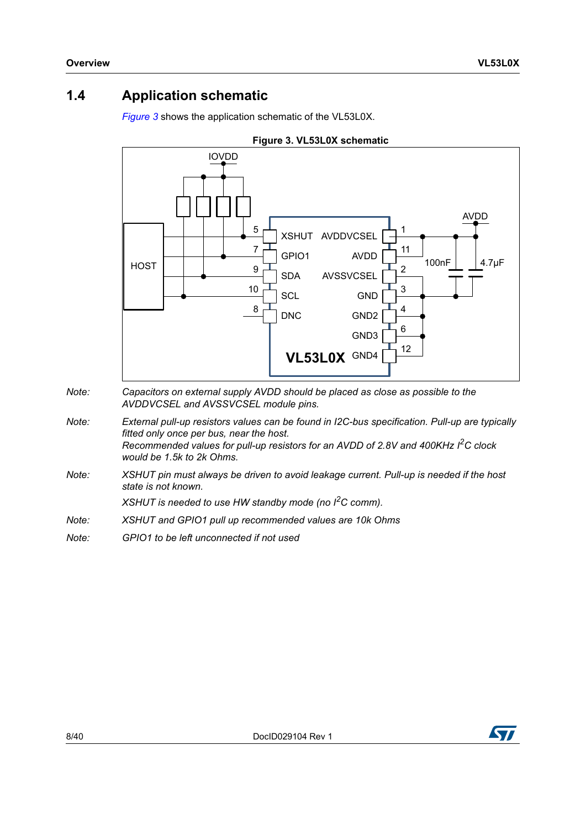### <span id="page-7-0"></span>**1.4 Application schematic**

<span id="page-7-1"></span>*[Figure](#page-7-1) 3* shows the application schematic of the VL53L0X.



- *Note: Capacitors on external supply AVDD should be placed as close as possible to the AVDDVCSEL and AVSSVCSEL module pins.*
- *Note: External pull-up resistors values can be found in I2C-bus specification. Pull-up are typically fitted only once per bus, near the host. Recommended values for pull-up resistors for an AVDD of 2.8V and 400KHz I2C clock would be 1.5k to 2k Ohms.*
- *Note: XSHUT pin must always be driven to avoid leakage current. Pull-up is needed if the host state is not known.*

*XSHUT is needed to use HW standby mode (no I2C comm).* 

- *Note: XSHUT and GPIO1 pull up recommended values are 10k Ohms*
- *Note: GPIO1 to be left unconnected if not used*

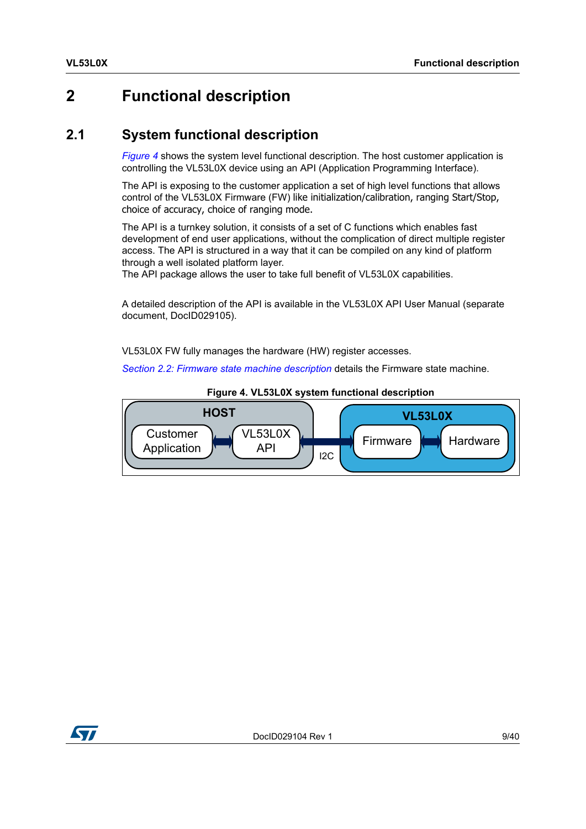# <span id="page-8-0"></span>**2 Functional description**

### <span id="page-8-1"></span>**2.1 System functional description**

*[Figure](#page-8-2) 4* shows the system level functional description. The host customer application is controlling the VL53L0X device using an API (Application Programming Interface).

The API is exposing to the customer application a set of high level functions that allows control of the VL53L0X Firmware (FW) like initialization/calibration, ranging Start/Stop, choice of accuracy, choice of ranging mode.

The API is a turnkey solution, it consists of a set of C functions which enables fast development of end user applications, without the complication of direct multiple register access. The API is structured in a way that it can be compiled on any kind of platform through a well isolated platform layer.

The API package allows the user to take full benefit of VL53L0X capabilities.

A detailed description of the API is available in the VL53L0X API User Manual (separate document, DocID029105).

VL53L0X FW fully manages the hardware (HW) register accesses.

*Section [2.2: Firmware state machine description](#page-9-0)* details the Firmware state machine.

<span id="page-8-2"></span>

**Figure 4. VL53L0X system functional description**

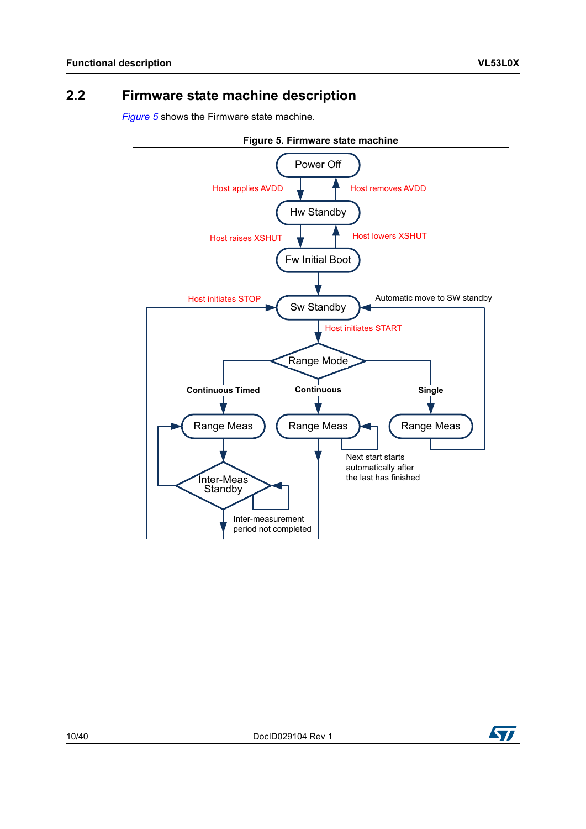## <span id="page-9-0"></span>**2.2 Firmware state machine description**

*[Figure](#page-9-1) 5* shows the Firmware state machine.

<span id="page-9-1"></span>

**Figure 5. Firmware state machine**

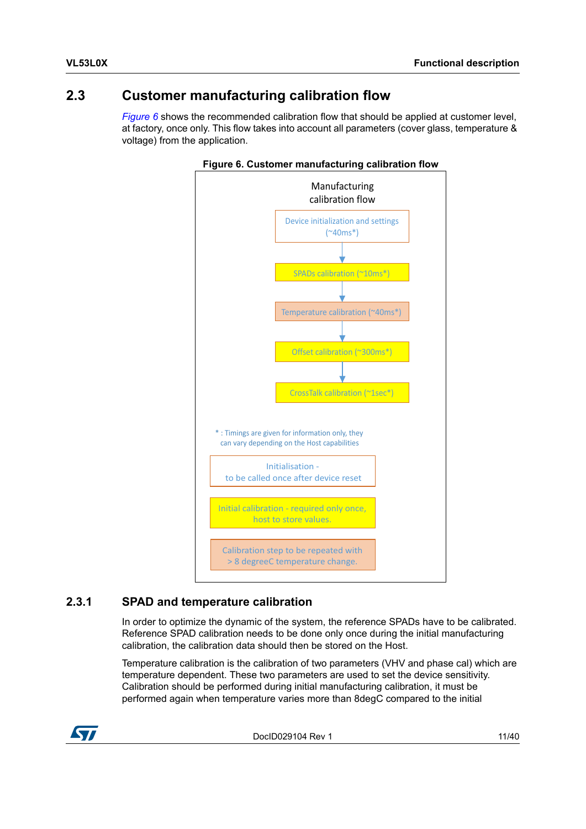### <span id="page-10-0"></span>**2.3 Customer manufacturing calibration flow**

<span id="page-10-2"></span>*[Figure](#page-10-2) 6* shows the recommended calibration flow that should be applied at customer level, at factory, once only. This flow takes into account all parameters (cover glass, temperature & voltage) from the application.





### <span id="page-10-1"></span>**2.3.1 SPAD and temperature calibration**

In order to optimize the dynamic of the system, the reference SPADs have to be calibrated. Reference SPAD calibration needs to be done only once during the initial manufacturing calibration, the calibration data should then be stored on the Host.

Temperature calibration is the calibration of two parameters (VHV and phase cal) which are temperature dependent. These two parameters are used to set the device sensitivity. Calibration should be performed during initial manufacturing calibration, it must be performed again when temperature varies more than 8degC compared to the initial

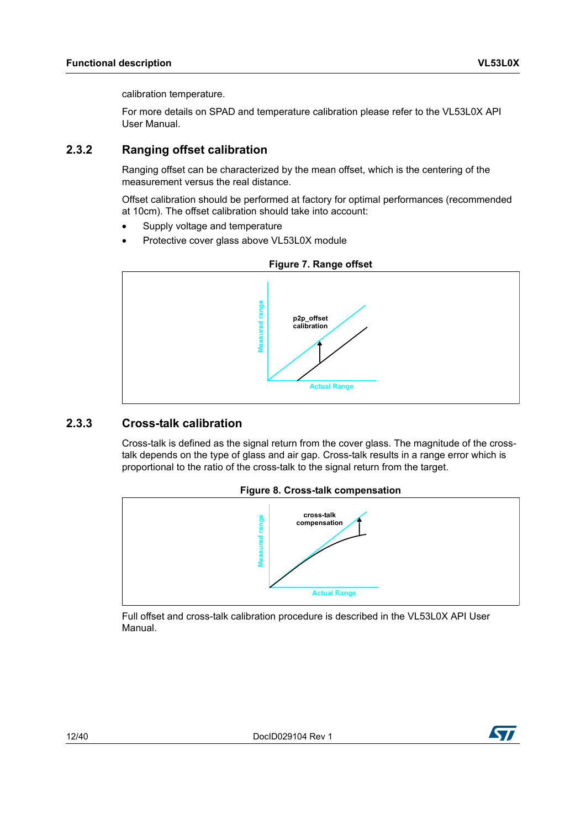calibration temperature.

For more details on SPAD and temperature calibration please refer to the VL53L0X API User Manual.

#### <span id="page-11-0"></span>**2.3.2 Ranging offset calibration**

Ranging offset can be characterized by the mean offset, which is the centering of the measurement versus the real distance.

Offset calibration should be performed at factory for optimal performances (recommended at 10cm). The offset calibration should take into account:

- Supply voltage and temperature
- Protective cover glass above VL53L0X module

<span id="page-11-2"></span>

#### <span id="page-11-1"></span>**2.3.3 Cross-talk calibration**

Cross-talk is defined as the signal return from the cover glass. The magnitude of the crosstalk depends on the type of glass and air gap. Cross-talk results in a range error which is proportional to the ratio of the cross-talk to the signal return from the target.



<span id="page-11-3"></span>

Full offset and cross-talk calibration procedure is described in the VL53L0X API User Manual.

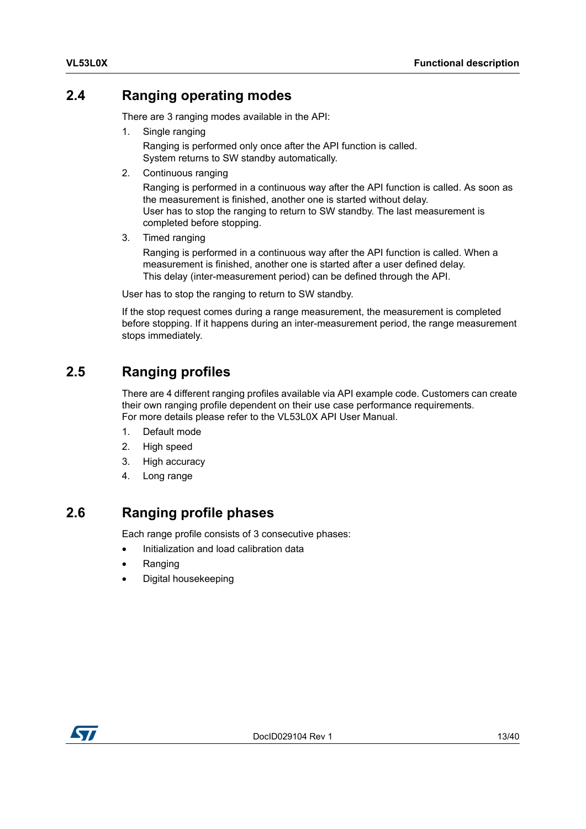### <span id="page-12-0"></span>**2.4 Ranging operating modes**

There are 3 ranging modes available in the API:

1. Single ranging

Ranging is performed only once after the API function is called. System returns to SW standby automatically.

2. Continuous ranging

Ranging is performed in a continuous way after the API function is called. As soon as the measurement is finished, another one is started without delay. User has to stop the ranging to return to SW standby. The last measurement is completed before stopping.

3. Timed ranging

Ranging is performed in a continuous way after the API function is called. When a measurement is finished, another one is started after a user defined delay. This delay (inter-measurement period) can be defined through the API.

User has to stop the ranging to return to SW standby.

If the stop request comes during a range measurement, the measurement is completed before stopping. If it happens during an inter-measurement period, the range measurement stops immediately.

### <span id="page-12-1"></span>**2.5 Ranging profiles**

There are 4 different ranging profiles available via API example code. Customers can create their own ranging profile dependent on their use case performance requirements. For more details please refer to the VL53L0X API User Manual.

- 1. Default mode
- 2. High speed
- 3. High accuracy
- 4. Long range

### <span id="page-12-2"></span>**2.6 Ranging profile phases**

Each range profile consists of 3 consecutive phases:

- Initialization and load calibration data
- Ranging
- Digital housekeeping

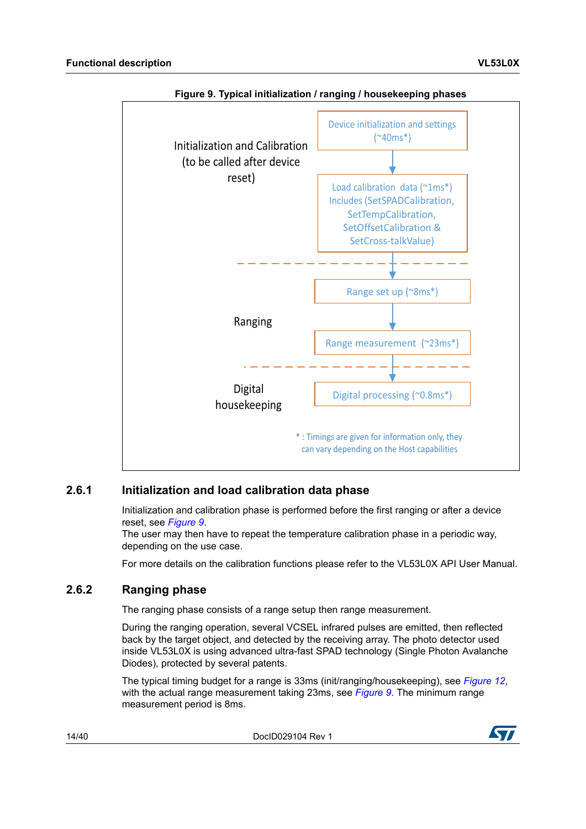<span id="page-13-2"></span>

#### **Figure 9. Typical initialization / ranging / housekeeping phases**

#### <span id="page-13-0"></span>**2.6.1 Initialization and load calibration data phase**

Initialization and calibration phase is performed before the first ranging or after a device reset, see *[Figure](#page-13-2) 9*.

The user may then have to repeat the temperature calibration phase in a periodic way, depending on the use case.

For more details on the calibration functions please refer to the VL53L0X API User Manual.

#### <span id="page-13-1"></span>**2.6.2 Ranging phase**

The ranging phase consists of a range setup then range measurement.

During the ranging operation, several VCSEL infrared pulses are emitted, then reflected back by the target object, and detected by the receiving array. The photo detector used inside VL53L0X is using advanced ultra-fast SPAD technology (Single Photon Avalanche Diodes), protected by several patents.

The typical timing budget for a range is 33ms (init/ranging/housekeeping), see *[Figure](#page-16-1) 12*, with the actual range measurement taking 23ms, see *[Figure](#page-13-2) 9*. The minimum range measurement period is 8ms.

14/40 DocID029104 Rev 1

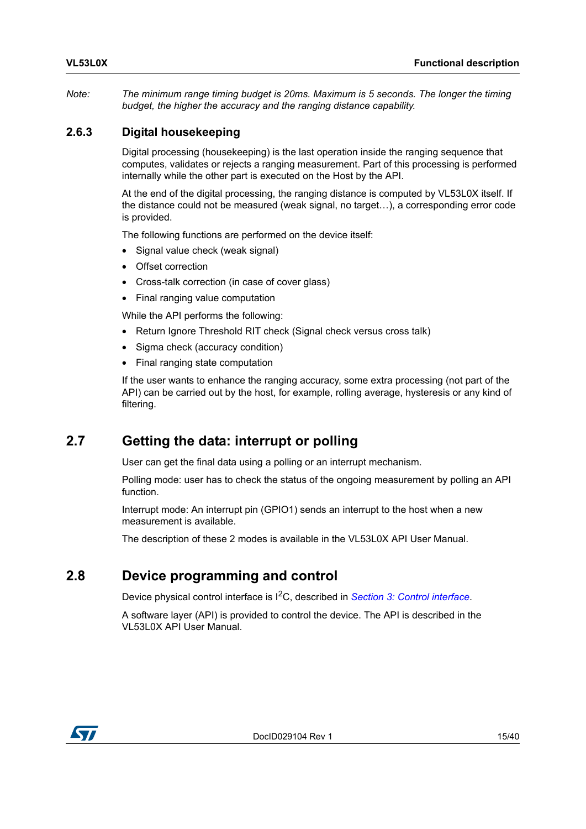*Note: The minimum range timing budget is 20ms. Maximum is 5 seconds. The longer the timing budget, the higher the accuracy and the ranging distance capability.*

#### <span id="page-14-0"></span>**2.6.3 Digital housekeeping**

Digital processing (housekeeping) is the last operation inside the ranging sequence that computes, validates or rejects a ranging measurement. Part of this processing is performed internally while the other part is executed on the Host by the API.

At the end of the digital processing, the ranging distance is computed by VL53L0X itself. If the distance could not be measured (weak signal, no target…), a corresponding error code is provided.

The following functions are performed on the device itself:

- Signal value check (weak signal)
- Offset correction
- Cross-talk correction (in case of cover glass)
- Final ranging value computation

While the API performs the following:

- Return Ignore Threshold RIT check (Signal check versus cross talk)
- Sigma check (accuracy condition)
- Final ranging state computation

If the user wants to enhance the ranging accuracy, some extra processing (not part of the API) can be carried out by the host, for example, rolling average, hysteresis or any kind of filtering.

### <span id="page-14-1"></span>**2.7 Getting the data: interrupt or polling**

User can get the final data using a polling or an interrupt mechanism.

Polling mode: user has to check the status of the ongoing measurement by polling an API function.

Interrupt mode: An interrupt pin (GPIO1) sends an interrupt to the host when a new measurement is available.

The description of these 2 modes is available in the VL53L0X API User Manual.

### <span id="page-14-2"></span>**2.8 Device programming and control**

Device physical control interface is I2C, described in *Section [3: Control interface](#page-17-0)*.

A software layer (API) is provided to control the device. The API is described in the VL53L0X API User Manual.

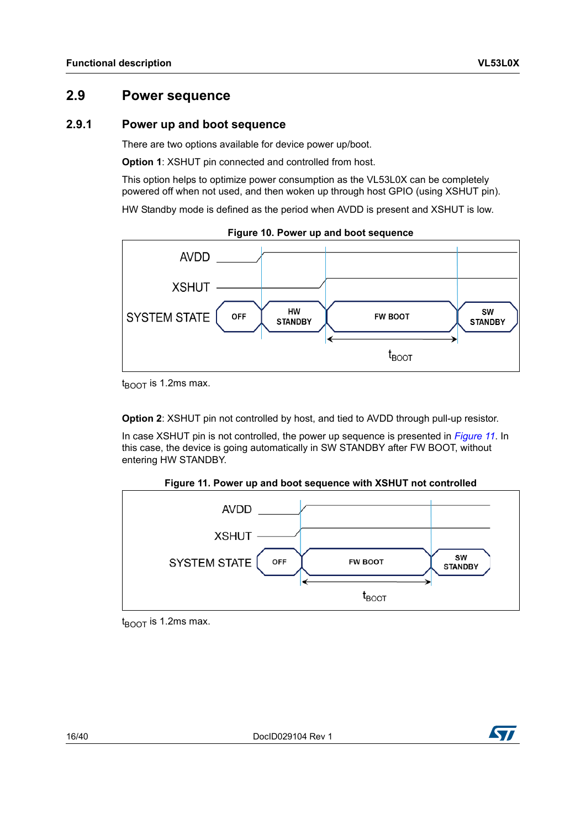### <span id="page-15-0"></span>**2.9 Power sequence**

#### <span id="page-15-1"></span>**2.9.1 Power up and boot sequence**

There are two options available for device power up/boot.

**Option 1**: XSHUT pin connected and controlled from host.

This option helps to optimize power consumption as the VL53L0X can be completely powered off when not used, and then woken up through host GPIO (using XSHUT pin).

HW Standby mode is defined as the period when AVDD is present and XSHUT is low.

<span id="page-15-2"></span>

**Figure 10. Power up and boot sequence**

 $t_{\text{ROT}}$  is 1.2ms max.

**Option 2**: XSHUT pin not controlled by host, and tied to AVDD through pull-up resistor.

In case XSHUT pin is not controlled, the power up sequence is presented in *[Figure](#page-15-3) 11*. In this case, the device is going automatically in SW STANDBY after FW BOOT, without entering HW STANDBY.



<span id="page-15-3"></span>

 $t_{\text{ROT}}$  is 1.2ms max.



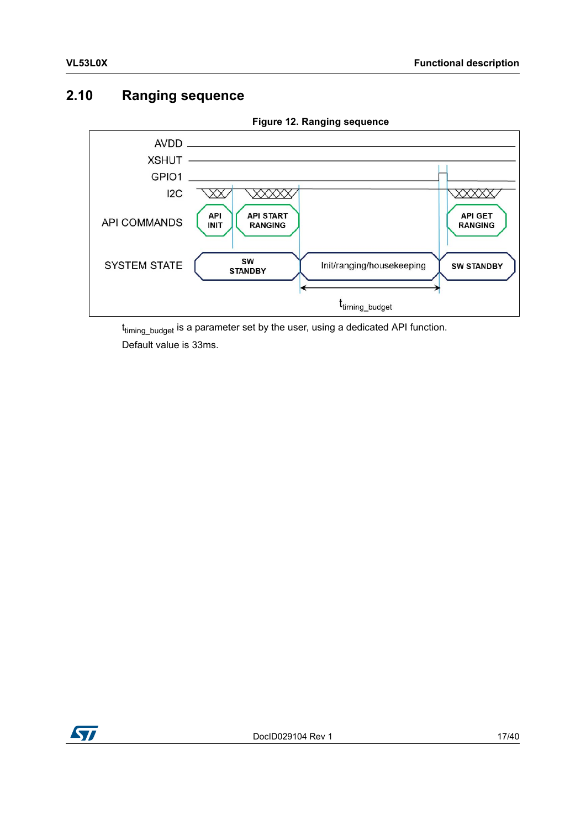### <span id="page-16-0"></span>**2.10 Ranging sequence**

<span id="page-16-1"></span>

**Figure 12. Ranging sequence**

t<sub>timing\_budget</sub> is a parameter set by the user, using a dedicated API function. Default value is 33ms.

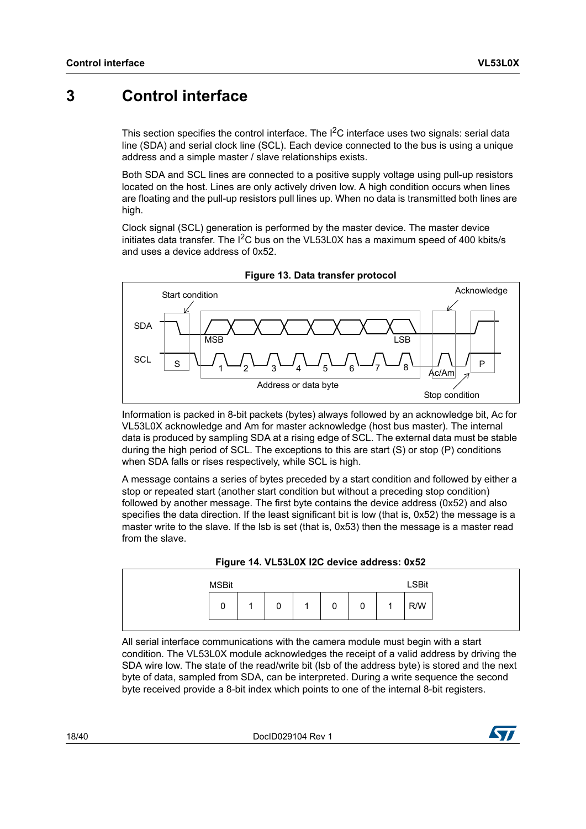## <span id="page-17-0"></span>**3 Control interface**

This section specifies the control interface. The I<sup>2</sup>C interface uses two signals: serial data line (SDA) and serial clock line (SCL). Each device connected to the bus is using a unique address and a simple master / slave relationships exists.

Both SDA and SCL lines are connected to a positive supply voltage using pull-up resistors located on the host. Lines are only actively driven low. A high condition occurs when lines are floating and the pull-up resistors pull lines up. When no data is transmitted both lines are high.

Clock signal (SCL) generation is performed by the master device. The master device initiates data transfer. The  $I^2C$  bus on the VL53L0X has a maximum speed of 400 kbits/s and uses a device address of 0x52.

<span id="page-17-1"></span>

**Figure 13. Data transfer protocol**

Information is packed in 8-bit packets (bytes) always followed by an acknowledge bit, Ac for VL53L0X acknowledge and Am for master acknowledge (host bus master). The internal data is produced by sampling SDA at a rising edge of SCL. The external data must be stable during the high period of SCL. The exceptions to this are start (S) or stop (P) conditions when SDA falls or rises respectively, while SCL is high.

A message contains a series of bytes preceded by a start condition and followed by either a stop or repeated start (another start condition but without a preceding stop condition) followed by another message. The first byte contains the device address (0x52) and also specifies the data direction. If the least significant bit is low (that is, 0x52) the message is a master write to the slave. If the lsb is set (that is, 0x53) then the message is a master read from the slave.



<span id="page-17-2"></span>

| <b>MSBit</b> |   |   |   |                | <b>LSBit</b> |
|--------------|---|---|---|----------------|--------------|
| 0            | 0 | 0 | 0 | $\overline{A}$ | R/W          |

All serial interface communications with the camera module must begin with a start condition. The VL53L0X module acknowledges the receipt of a valid address by driving the SDA wire low. The state of the read/write bit (lsb of the address byte) is stored and the next byte of data, sampled from SDA, can be interpreted. During a write sequence the second byte received provide a 8-bit index which points to one of the internal 8-bit registers.

18/40 DocID029104 Rev 1

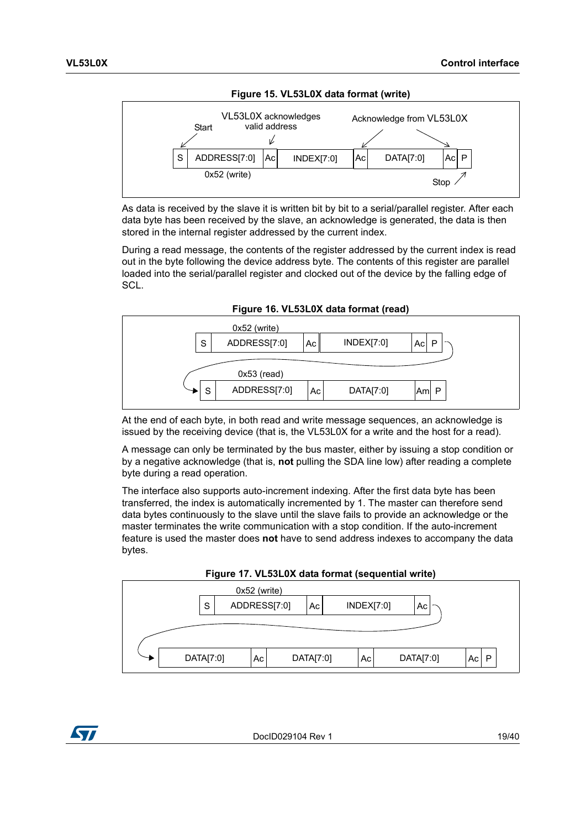<span id="page-18-0"></span>

As data is received by the slave it is written bit by bit to a serial/parallel register. After each data byte has been received by the slave, an acknowledge is generated, the data is then stored in the internal register addressed by the current index.

During a read message, the contents of the register addressed by the current index is read out in the byte following the device address byte. The contents of this register are parallel loaded into the serial/parallel register and clocked out of the device by the falling edge of SCL.



<span id="page-18-1"></span>

At the end of each byte, in both read and write message sequences, an acknowledge is issued by the receiving device (that is, the VL53L0X for a write and the host for a read).

A message can only be terminated by the bus master, either by issuing a stop condition or by a negative acknowledge (that is, **not** pulling the SDA line low) after reading a complete byte during a read operation.

The interface also supports auto-increment indexing. After the first data byte has been transferred, the index is automatically incremented by 1. The master can therefore send data bytes continuously to the slave until the slave fails to provide an acknowledge or the master terminates the write communication with a stop condition. If the auto-increment feature is used the master does **not** have to send address indexes to accompany the data bytes.



<span id="page-18-2"></span>

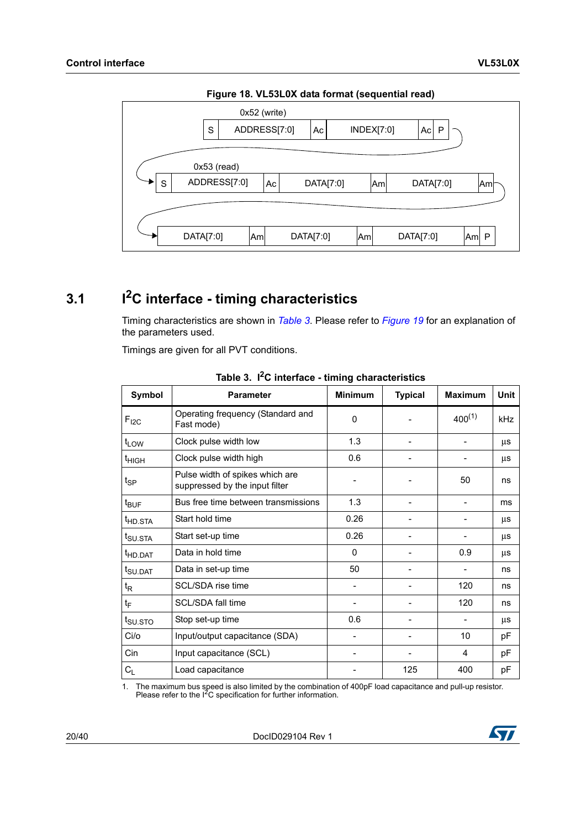<span id="page-19-2"></span>

**Figure 18. VL53L0X data format (sequential read)**

# <span id="page-19-0"></span>**3.1 I2C interface - timing characteristics**

Timing characteristics are shown in *[Table](#page-19-1) 3*. Please refer to *[Figure](#page-20-3) 19* for an explanation of the parameters used.

Timings are given for all PVT conditions.

<span id="page-19-1"></span>

| Symbol              | <b>Parameter</b>                                                  | <b>Minimum</b> | <b>Typical</b> | <b>Maximum</b> | Unit |
|---------------------|-------------------------------------------------------------------|----------------|----------------|----------------|------|
| $F_{I2C}$           | Operating frequency (Standard and<br>Fast mode)                   | $\Omega$       |                | $400^{(1)}$    | kHz  |
| $t_{LOW}$           | Clock pulse width low                                             | 1.3            |                |                | μs   |
| <sup>t</sup> HIGH   | Clock pulse width high                                            | 0.6            |                |                | μs   |
| $t_{\sf SP}$        | Pulse width of spikes which are<br>suppressed by the input filter |                |                | 50             | ns   |
| $t_{\text{BUF}}$    | Bus free time between transmissions                               | 1.3            |                |                | ms   |
| <sup>t</sup> HD.STA | Start hold time                                                   | 0.26           |                |                | μs   |
| t <sub>SU.STA</sub> | Start set-up time                                                 | 0.26           |                |                | μs   |
| <sup>t</sup> HD.DAT | Data in hold time                                                 | $\Omega$       |                | 0.9            | μs   |
| t <sub>SU.DAT</sub> | Data in set-up time                                               | 50             |                |                | ns   |
| $t_{\mathsf{R}}$    | SCL/SDA rise time                                                 |                |                | 120            | ns   |
| $t_{\text{F}}$      | SCL/SDA fall time                                                 |                |                | 120            | ns   |
| t <sub>SU.STO</sub> | Stop set-up time                                                  | 0.6            |                |                | μs   |
| Ci/o                | Input/output capacitance (SDA)                                    |                |                | 10             | pF   |
| Cin                 | Input capacitance (SCL)                                           |                |                | 4              | pF   |
| $C_L$               | Load capacitance                                                  |                | 125            | 400            | pF   |

**Table 3. I2C interface - timing characteristics**

1. The maximum bus speed is also limited by the combination of 400pF load capacitance and pull-up resistor. Please refer to the I2C specification for further information.

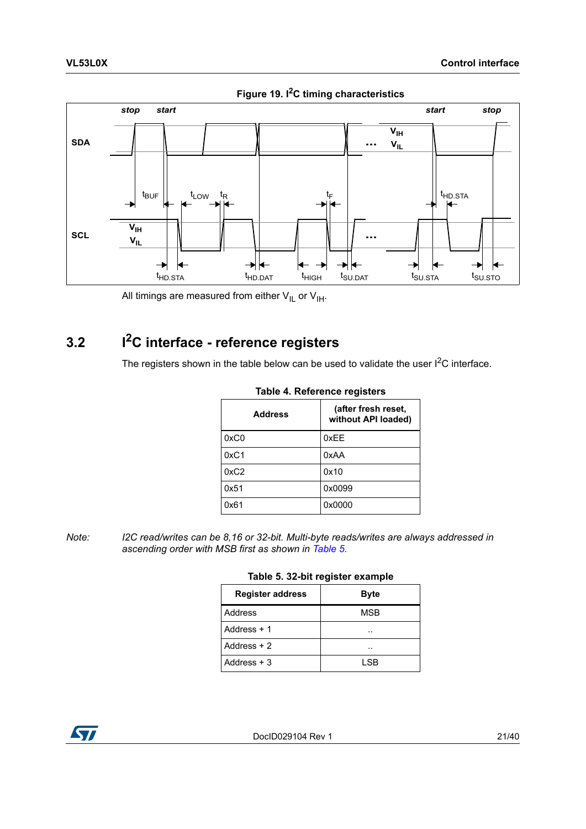<span id="page-20-3"></span>

**Figure 19. I2C timing characteristics**

All timings are measured from either  $V_{IL}$  or  $V_{IH}$ .

# <span id="page-20-0"></span>**3.2 I2C interface - reference registers**

<span id="page-20-1"></span>The registers shown in the table below can be used to validate the user  $I^2C$  interface.

| <b>Address</b> | (after fresh reset,<br>without API loaded) |
|----------------|--------------------------------------------|
| 0xC0           | 0xEE                                       |
| 0xC1           | 0xAA                                       |
| 0xC2           | 0x10                                       |
| 0x51           | 0x0099                                     |
| 0x61           | 0x0000                                     |

#### **Table 4. Reference registers**

<span id="page-20-2"></span>*Note: I2C read/writes can be 8,16 or 32-bit. Multi-byte reads/writes are always addressed in ascending order with MSB first as shown in [Table 5.](#page-20-2)*

#### **Table 5. 32-bit register example**

| <b>Register address</b> | <b>Byte</b> |
|-------------------------|-------------|
| Address                 | MSB         |
| Address $+1$            | . .         |
| Address $+2$            | . .         |
| Address $+3$            | I SB        |

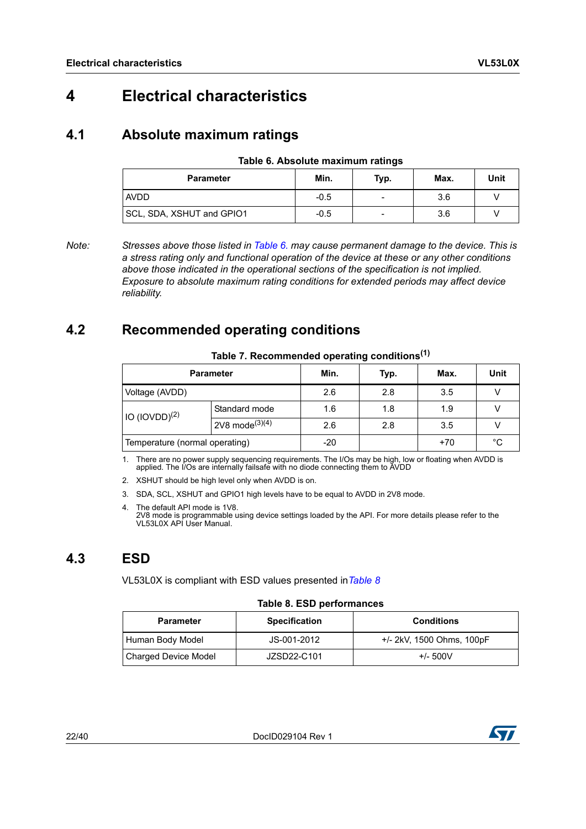# <span id="page-21-0"></span>**4 Electrical characteristics**

### <span id="page-21-1"></span>**4.1 Absolute maximum ratings**

| Table 6. Absolute maximum ratings |  |  |
|-----------------------------------|--|--|
|-----------------------------------|--|--|

<span id="page-21-4"></span>

| <b>Parameter</b>          | Min.   | Typ. | Max. | Unit |
|---------------------------|--------|------|------|------|
| <b>AVDD</b>               | $-0.5$ |      | 3.6  |      |
| SCL, SDA, XSHUT and GPIO1 | $-0.5$ | -    | 3.6  |      |

*Note: Stresses above those listed in [Table 6.](#page-21-4) may cause permanent damage to the device. This is a stress rating only and functional operation of the device at these or any other conditions above those indicated in the operational sections of the specification is not implied. Exposure to absolute maximum rating conditions for extended periods may affect device reliability.*

### <span id="page-21-2"></span>**4.2 Recommended operating conditions**

<span id="page-21-5"></span>

| rapic 7. Recommended operating conditions |                              |       |      |       |      |
|-------------------------------------------|------------------------------|-------|------|-------|------|
| <b>Parameter</b>                          |                              | Min.  | Typ. | Max.  | Unit |
| Voltage (AVDD)                            |                              | 2.6   | 2.8  | 3.5   |      |
| $10$ (IOVDD) <sup>(2)</sup>               | Standard mode                | 1.6   | 1.8  | 1.9   |      |
|                                           | $2V8$ mode <sup>(3)(4)</sup> | 2.6   | 2.8  | 3.5   |      |
| Temperature (normal operating)            |                              | $-20$ |      | $+70$ | °C   |

#### **Table 7. Recommended operating conditions(1)**

1. There are no power supply sequencing requirements. The I/Os may be high, low or floating when AVDD is applied. The I/Os are internally failsafe with no diode connecting them to AVDD

2. XSHUT should be high level only when AVDD is on.

- 3. SDA, SCL, XSHUT and GPIO1 high levels have to be equal to AVDD in 2V8 mode.
- 4. The default API mode is 1V8. 2V8 mode is programmable using device settings loaded by the API. For more details please refer to the VL53L0X API User Manual.

### <span id="page-21-3"></span>**4.3 ESD**

VL53L0X is compliant with ESD values presented in*[Table](#page-21-6) 8*

#### **Table 8. ESD performances**

<span id="page-21-6"></span>

| <b>Parameter</b>            | <b>Specification</b> | <b>Conditions</b>         |
|-----------------------------|----------------------|---------------------------|
| Human Body Model            | JS-001-2012          | +/- 2kV, 1500 Ohms, 100pF |
| <b>Charged Device Model</b> | JZSD22-C101          | $+/- 500V$                |

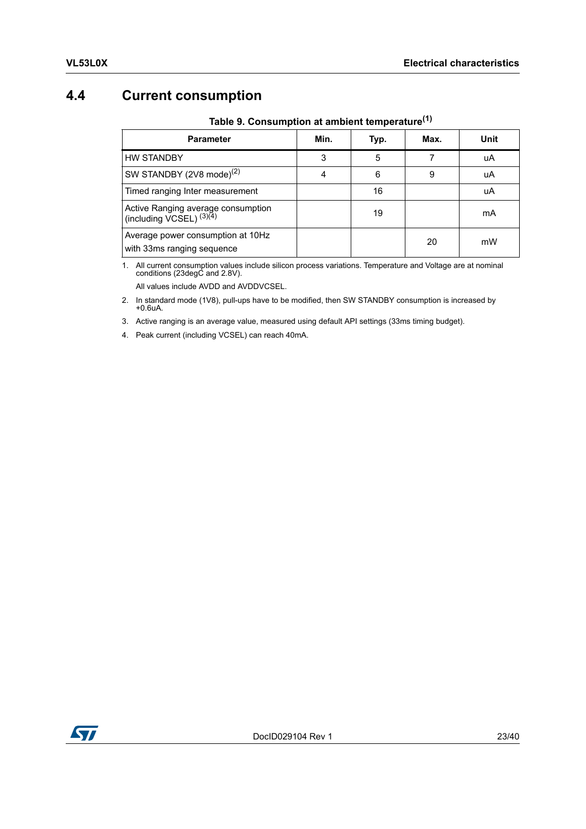## <span id="page-22-0"></span>**4.4 Current consumption**

<span id="page-22-1"></span>

| <b>Parameter</b>                                                    | Min. | Typ. | Max. | Unit |
|---------------------------------------------------------------------|------|------|------|------|
| <b>HW STANDBY</b>                                                   | 3    | 5    |      | uA   |
| SW STANDBY (2V8 mode) <sup>(2)</sup>                                | 4    | 6    | 9    | uA   |
| Timed ranging Inter measurement                                     |      | 16   |      | uA   |
| Active Ranging average consumption<br>(including $VCSEL$ ) $(3)(4)$ |      | 19   |      | mA   |
| Average power consumption at 10Hz<br>with 33ms ranging sequence     |      |      | 20   | mW   |

**Table 9. Consumption at ambient temperature(1)**

1. All current consumption values include silicon process variations. Temperature and Voltage are at nominal conditions (23degC and 2.8V). All values include AVDD and AVDDVCSEL.

2. In standard mode (1V8), pull-ups have to be modified, then SW STANDBY consumption is increased by +0.6uA.

3. Active ranging is an average value, measured using default API settings (33ms timing budget).

4. Peak current (including VCSEL) can reach 40mA.

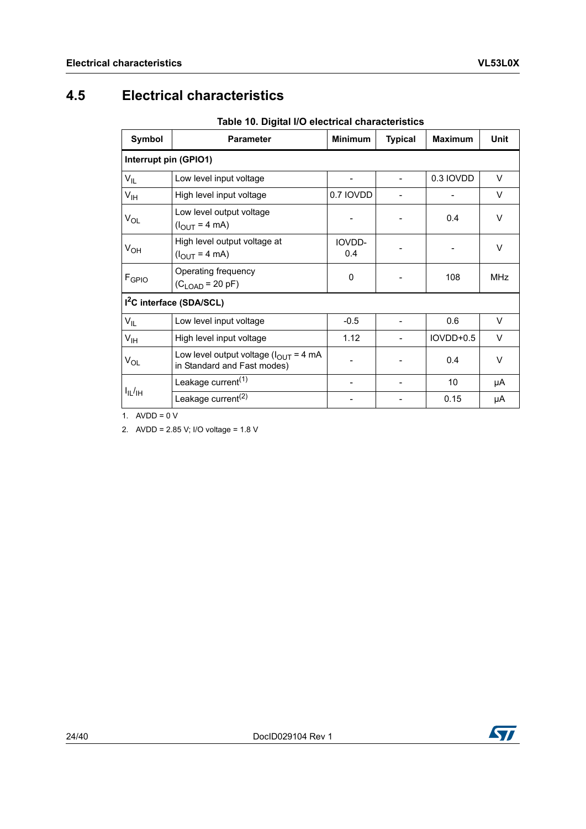## <span id="page-23-0"></span>**4.5 Electrical characteristics**

**Table 10. Digital I/O electrical characteristics**

<span id="page-23-1"></span>

| Symbol                | <b>Parameter</b>                                                                          | <b>Minimum</b> | <b>Typical</b> | <b>Maximum</b> | <b>Unit</b> |
|-----------------------|-------------------------------------------------------------------------------------------|----------------|----------------|----------------|-------------|
| Interrupt pin (GPIO1) |                                                                                           |                |                |                |             |
| $V_{IL}$              | Low level input voltage                                                                   |                |                | 0.3 IOVDD      | $\vee$      |
| $V_{\text{IH}}$       | High level input voltage                                                                  | 0.7 IOVDD      |                |                | V           |
| V <sub>OL</sub>       | Low level output voltage<br>$(I_{OUT} = 4 mA)$                                            |                |                | 0.4            | V           |
| $V_{OH}$              | High level output voltage at<br>$(l_{\text{OUT}} = 4 \text{ mA})$                         | IOVDD-<br>0.4  |                |                | $\vee$      |
| F <sub>GPIO</sub>     | Operating frequency<br>$(C_{LOAD} = 20 pF)$                                               | 0              |                | 108            | <b>MHz</b>  |
|                       | 1 <sup>2</sup> C interface (SDA/SCL)                                                      |                |                |                |             |
| $V_{IL}$              | Low level input voltage                                                                   | $-0.5$         |                | 0.6            | $\vee$      |
| $V_{\text{IH}}$       | High level input voltage                                                                  | 1.12           |                | IOVDD+0.5      | $\vee$      |
| V <sub>OL</sub>       | Low level output voltage $(l_{\text{OUT}} = 4 \text{ mA})$<br>in Standard and Fast modes) |                |                | 0.4            | $\vee$      |
|                       | Leakage current <sup>(1)</sup>                                                            |                |                | 10             | μA          |
| $I_{IL}/H$            | Leakage current <sup>(2)</sup>                                                            |                |                | 0.15           | μA          |

1.  $AVDD = 0 V$ 

2. AVDD = 2.85 V; I/O voltage = 1.8 V

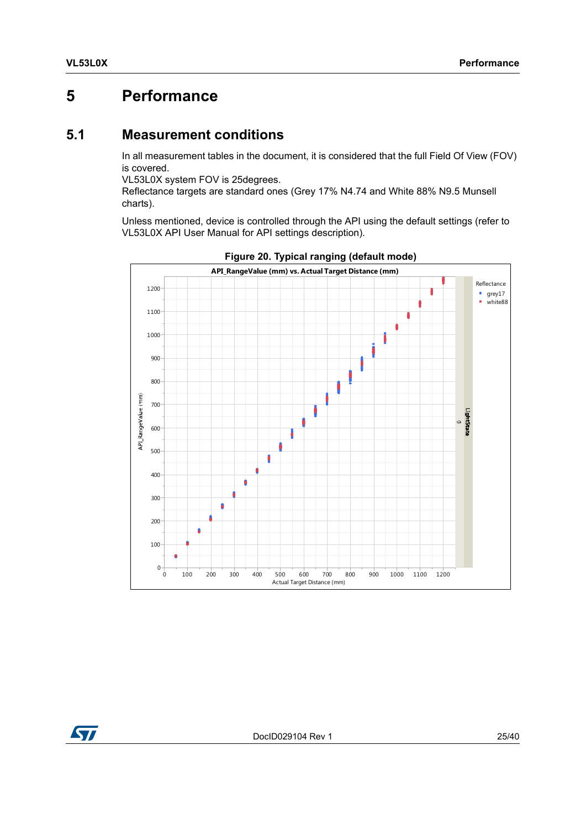## <span id="page-24-0"></span>**5 Performance**

### <span id="page-24-1"></span>**5.1 Measurement conditions**

In all measurement tables in the document, it is considered that the full Field Of View (FOV) is covered.

VL53L0X system FOV is 25degrees.

Reflectance targets are standard ones (Grey 17% N4.74 and White 88% N9.5 Munsell charts).

Unless mentioned, device is controlled through the API using the default settings (refer to VL53L0X API User Manual for API settings description).

<span id="page-24-2"></span>



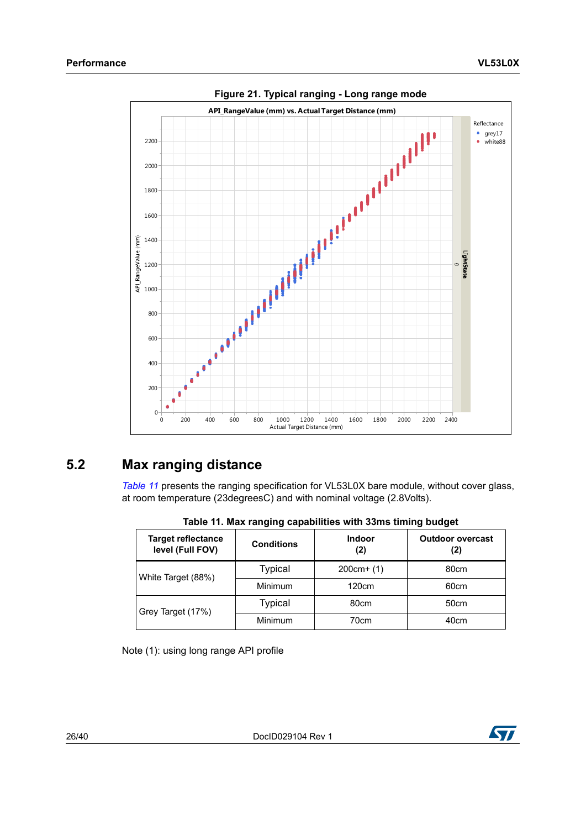<span id="page-25-2"></span>

**Figure 21. Typical ranging - Long range mode**

### <span id="page-25-0"></span>**5.2 Max ranging distance**

*[Table](#page-25-1) 11* presents the ranging specification for VL53L0X bare module, without cover glass, at room temperature (23degreesC) and with nominal voltage (2.8Volts).

<span id="page-25-1"></span>

| <b>Target reflectance</b><br>level (Full FOV) | <b>Conditions</b> | <b>Indoor</b><br>(2) | <b>Outdoor overcast</b><br>(2) |
|-----------------------------------------------|-------------------|----------------------|--------------------------------|
| White Target (88%)                            | <b>Typical</b>    | $200cm+(1)$          | 80cm                           |
|                                               | Minimum           | 120cm                | 60cm                           |
| Grey Target (17%)                             | <b>Typical</b>    | 80cm                 | 50cm                           |
|                                               | Minimum           | 70cm                 | 40cm                           |

**Table 11. Max ranging capabilities with 33ms timing budget**

Note (1): using long range API profile

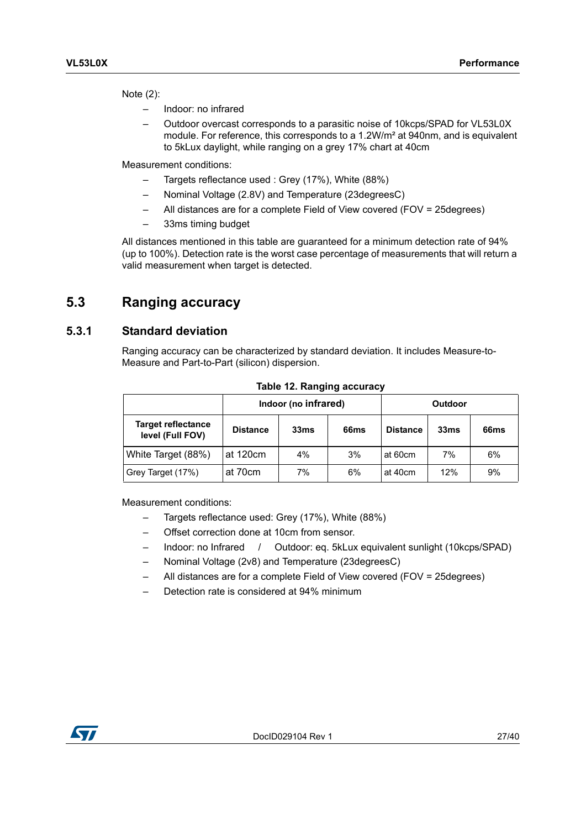Note (2):

- Indoor: no infrared
- Outdoor overcast corresponds to a parasitic noise of 10kcps/SPAD for VL53L0X module. For reference, this corresponds to a 1.2W/m² at 940nm, and is equivalent to 5kLux daylight, while ranging on a grey 17% chart at 40cm

Measurement conditions:

- Targets reflectance used : Grey (17%), White (88%)
- Nominal Voltage (2.8V) and Temperature (23degreesC)
- All distances are for a complete Field of View covered (FOV = 25degrees)
- 33ms timing budget

All distances mentioned in this table are guaranteed for a minimum detection rate of 94% (up to 100%). Detection rate is the worst case percentage of measurements that will return a valid measurement when target is detected.

### <span id="page-26-0"></span>**5.3 Ranging accuracy**

#### <span id="page-26-1"></span>**5.3.1 Standard deviation**

Ranging accuracy can be characterized by standard deviation. It includes Measure-to-Measure and Part-to-Part (silicon) dispersion.

<span id="page-26-2"></span>

|                                               | Indoor (no infrared) |      |                  |                 | Outdoor          |                  |
|-----------------------------------------------|----------------------|------|------------------|-----------------|------------------|------------------|
| <b>Target reflectance</b><br>level (Full FOV) | <b>Distance</b>      | 33ms | 66 <sub>ms</sub> | <b>Distance</b> | 33 <sub>ms</sub> | 66 <sub>ms</sub> |
| White Target (88%)                            | at 120cm             | 4%   | 3%               | at 60cm         | 7%               | 6%               |
| Grey Target (17%)                             | at 70cm              | 7%   | 6%               | at 40cm         | 12%              | 9%               |

**Table 12. Ranging accuracy**

Measurement conditions:

- Targets reflectance used: Grey (17%), White (88%)
- Offset correction done at 10cm from sensor.
- Indoor: no Infrared / Outdoor: eq. 5kLux equivalent sunlight (10kcps/SPAD)
- Nominal Voltage (2v8) and Temperature (23degreesC)
- All distances are for a complete Field of View covered (FOV = 25degrees)
- Detection rate is considered at 94% minimum

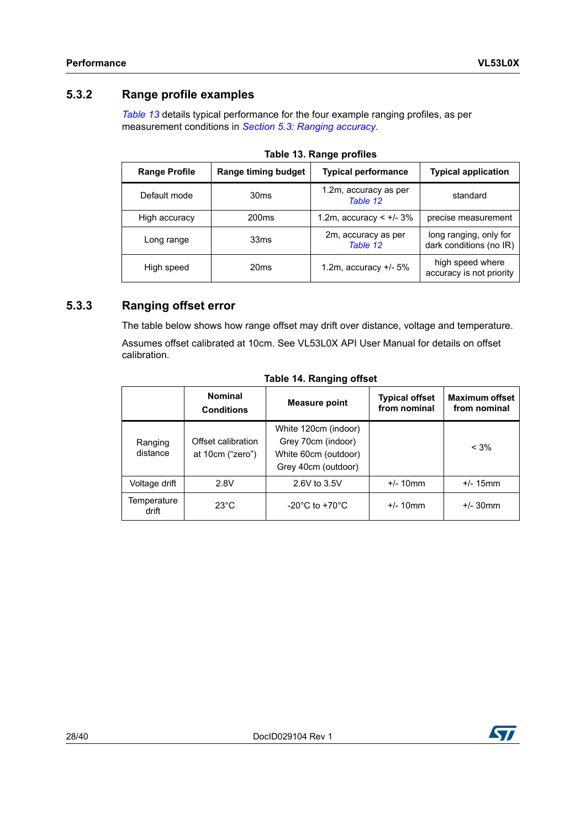#### <span id="page-27-0"></span>**5.3.2 Range profile examples**

*[Table](#page-27-2) 13* details typical performance for the four example ranging profiles, as per measurement conditions in *Section [5.3: Ranging accuracy](#page-26-0)*.

<span id="page-27-2"></span>

| <b>Range Profile</b> | <b>Typical performance</b><br>Range timing budget |                                   | <b>Typical application</b>                        |  |
|----------------------|---------------------------------------------------|-----------------------------------|---------------------------------------------------|--|
| Default mode         | 30 <sub>ms</sub>                                  | 1.2m, accuracy as per<br>Table 12 | standard                                          |  |
| High accuracy        | 200 <sub>ms</sub>                                 | 1.2m, accuracy < $+/- 3%$         | precise measurement                               |  |
| Long range           | 33 <sub>ms</sub>                                  | 2m, accuracy as per<br>Table 12   | long ranging, only for<br>dark conditions (no IR) |  |
| High speed           | 20 <sub>ms</sub>                                  | 1.2m, accuracy $+/-5\%$           | high speed where<br>accuracy is not priority      |  |

#### <span id="page-27-1"></span>**5.3.3 Ranging offset error**

The table below shows how range offset may drift over distance, voltage and temperature. Assumes offset calibrated at 10cm. See VL53L0X API User Manual for details on offset calibration.

<span id="page-27-3"></span>

|                      | <b>Nominal</b><br><b>Conditions</b>    | <b>Measure point</b>                                                                      | <b>Typical offset</b><br>from nominal | <b>Maximum offset</b><br>from nominal |
|----------------------|----------------------------------------|-------------------------------------------------------------------------------------------|---------------------------------------|---------------------------------------|
| Ranging<br>distance  | Offset calibration<br>at 10cm ("zero") | White 120cm (indoor)<br>Grey 70cm (indoor)<br>White 60cm (outdoor)<br>Grey 40cm (outdoor) |                                       | $< 3\%$                               |
| Voltage drift        | 2.8V                                   | 2.6V to 3.5V                                                                              | $+/- 10$ mm                           | $+/- 15$ mm                           |
| Temperature<br>drift | $23^{\circ}$ C                         | $-20^{\circ}$ C to $+70^{\circ}$ C                                                        | $+/- 10$ mm                           | $+/- 30$ mm                           |

#### **Table 14. Ranging offset**

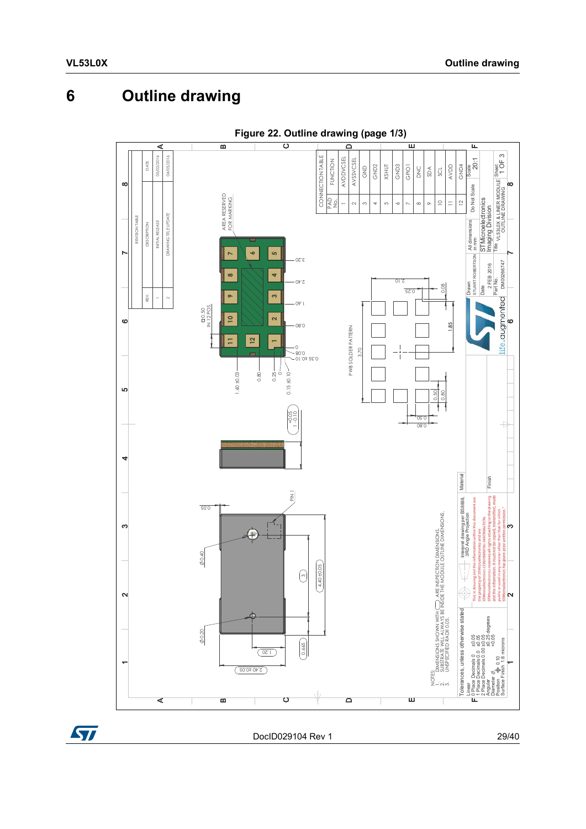# <span id="page-28-0"></span>**6 Outline drawing**

<span id="page-28-1"></span>

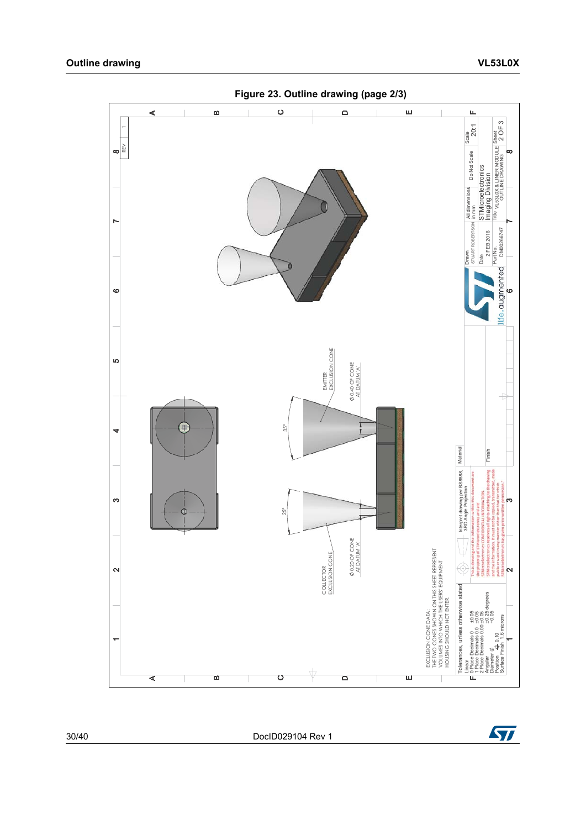<span id="page-29-0"></span>

30/40 DocID029104 Rev 1

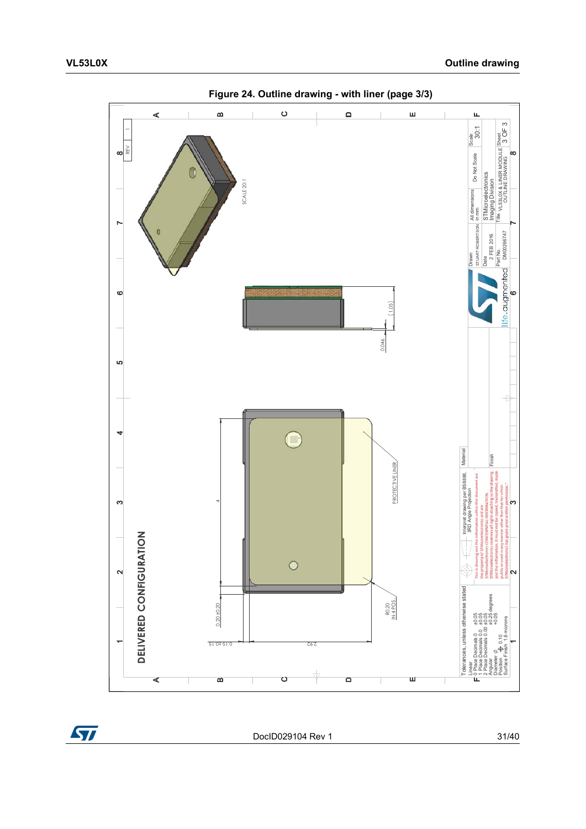<span id="page-30-0"></span>

**Figure 24. Outline drawing - with liner (page 3/3)**



DocID029104 Rev 1 31/40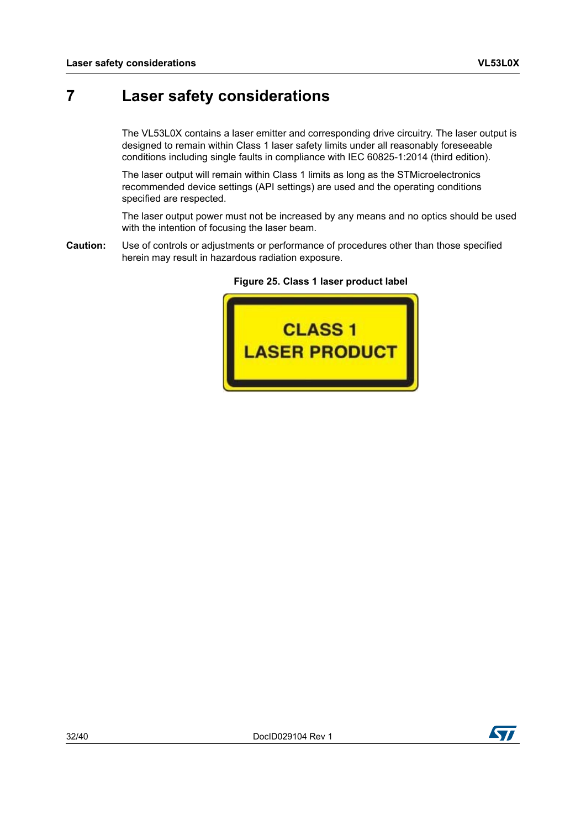## <span id="page-31-0"></span>**7 Laser safety considerations**

The VL53L0X contains a laser emitter and corresponding drive circuitry. The laser output is designed to remain within Class 1 laser safety limits under all reasonably foreseeable conditions including single faults in compliance with IEC 60825-1:2014 (third edition).

The laser output will remain within Class 1 limits as long as the STMicroelectronics recommended device settings (API settings) are used and the operating conditions specified are respected.

<span id="page-31-1"></span>The laser output power must not be increased by any means and no optics should be used with the intention of focusing the laser beam.

**Caution:** Use of controls or adjustments or performance of procedures other than those specified herein may result in hazardous radiation exposure.



**Figure 25. Class 1 laser product label**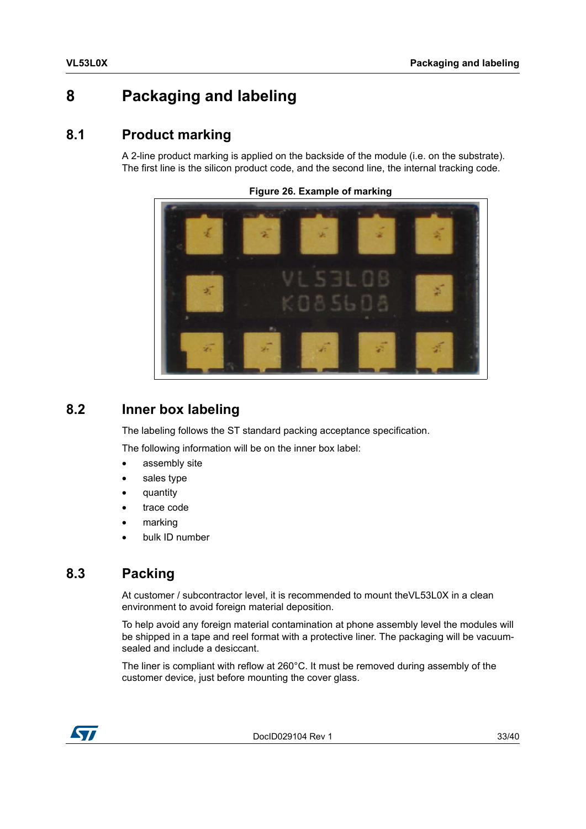# <span id="page-32-0"></span>**8 Packaging and labeling**

### <span id="page-32-1"></span>**8.1 Product marking**

<span id="page-32-4"></span>A 2-line product marking is applied on the backside of the module (i.e. on the substrate). The first line is the silicon product code, and the second line, the internal tracking code.

**Figure 26. Example of marking**

### <span id="page-32-2"></span>**8.2 Inner box labeling**

The labeling follows the ST standard packing acceptance specification.

The following information will be on the inner box label:

- assembly site
- sales type
- quantity
- trace code
- marking
- bulk ID number

### <span id="page-32-3"></span>**8.3 Packing**

At customer / subcontractor level, it is recommended to mount theVL53L0X in a clean environment to avoid foreign material deposition.

To help avoid any foreign material contamination at phone assembly level the modules will be shipped in a tape and reel format with a protective liner. The packaging will be vacuumsealed and include a desiccant.

The liner is compliant with reflow at 260°C. It must be removed during assembly of the customer device, just before mounting the cover glass.



DocID029104 Rev 1 33/40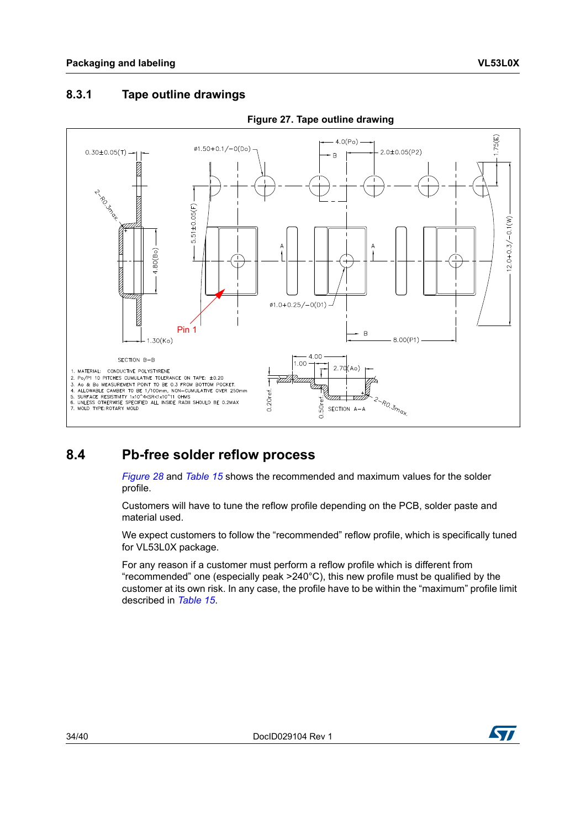#### <span id="page-33-0"></span>**8.3.1 Tape outline drawings**

<span id="page-33-2"></span>

#### **Figure 27. Tape outline drawing**

### <span id="page-33-1"></span>**8.4 Pb-free solder reflow process**

*[Figure](#page-34-3) 28* and *[Table](#page-34-2) 15* shows the recommended and maximum values for the solder profile.

Customers will have to tune the reflow profile depending on the PCB, solder paste and material used.

We expect customers to follow the "recommended" reflow profile, which is specifically tuned for VL53L0X package.

For any reason if a customer must perform a reflow profile which is different from "recommended" one (especially peak >240°C), this new profile must be qualified by the customer at its own risk. In any case, the profile have to be within the "maximum" profile limit described in *[Table](#page-34-2) 15*.

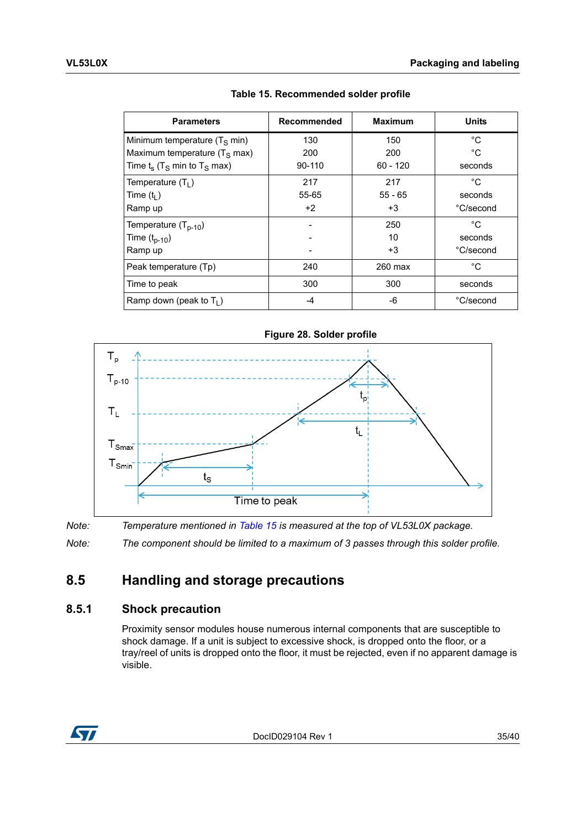<span id="page-34-2"></span>

| <b>Parameters</b>                                     | Recommended | <b>Maximum</b> | <b>Units</b> |
|-------------------------------------------------------|-------------|----------------|--------------|
| Minimum temperature $(T_S \text{ min})$               | 130         | 150            | °C           |
| Maximum temperature $(T_S \text{ max})$               | 200         | 200            | °C           |
| Time $t_s$ (T <sub>S</sub> min to T <sub>S</sub> max) | 90-110      | $60 - 120$     | seconds      |
| Temperature $(T_1)$                                   | 217         | 217            | $^{\circ}C$  |
| Time $(t1)$                                           | 55-65       | $55 - 65$      | seconds      |
| Ramp up                                               | $+2$        | +3             | °C/second    |
| Temperature $(T_{p-10})$                              |             | 250            | °C           |
| Time $(t_{p-10})$                                     |             | 10             | seconds      |
| Ramp up                                               |             | $+3$           | °C/second    |
| Peak temperature (Tp)                                 | 240         | 260 max        | °C           |
| Time to peak                                          | 300         | 300            | seconds      |
| Ramp down (peak to $T_1$ )                            | -4          | -6             | °C/second    |

**Table 15. Recommended solder profile**

<span id="page-34-3"></span>

*Note: Temperature mentioned in [Table](#page-34-2) 15 is measured at the top of VL53L0X package.*

*Note: The component should be limited to a maximum of 3 passes through this solder profile.*

### <span id="page-34-0"></span>**8.5 Handling and storage precautions**

#### <span id="page-34-1"></span>**8.5.1 Shock precaution**

Proximity sensor modules house numerous internal components that are susceptible to shock damage. If a unit is subject to excessive shock, is dropped onto the floor, or a tray/reel of units is dropped onto the floor, it must be rejected, even if no apparent damage is visible.



DocID029104 Rev 1 35/40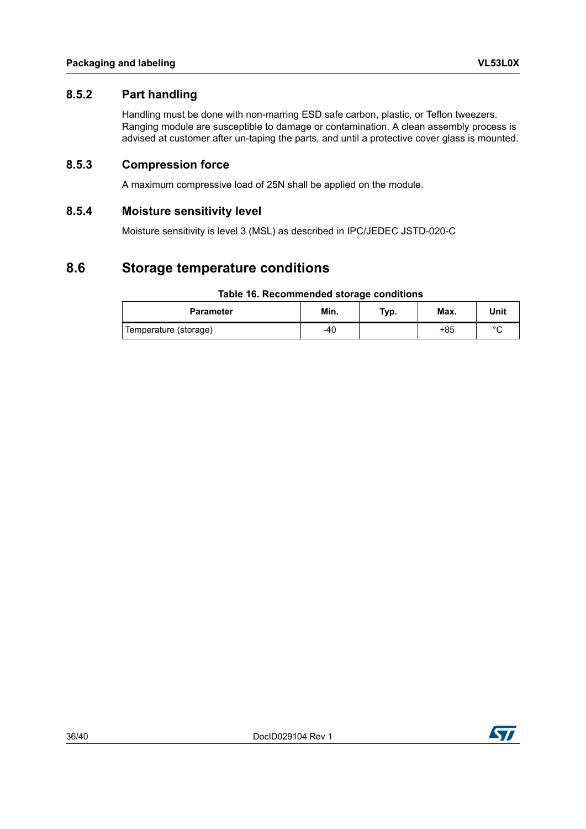#### <span id="page-35-0"></span>**8.5.2 Part handling**

Handling must be done with non-marring ESD safe carbon, plastic, or Teflon tweezers. Ranging module are susceptible to damage or contamination. A clean assembly process is advised at customer after un-taping the parts, and until a protective cover glass is mounted.

#### <span id="page-35-1"></span>**8.5.3 Compression force**

A maximum compressive load of 25N shall be applied on the module.

#### <span id="page-35-2"></span>**8.5.4 Moisture sensitivity level**

Moisture sensitivity is level 3 (MSL) as described in IPC/JEDEC JSTD-020-C

### <span id="page-35-3"></span>**8.6 Storage temperature conditions**

#### **Table 16. Recommended storage conditions**

<span id="page-35-4"></span>

| <b>Parameter</b>      | Min. | Typ. | Max. | Unit    |
|-----------------------|------|------|------|---------|
| Temperature (storage) | -40  |      | +85  | $\circ$ |

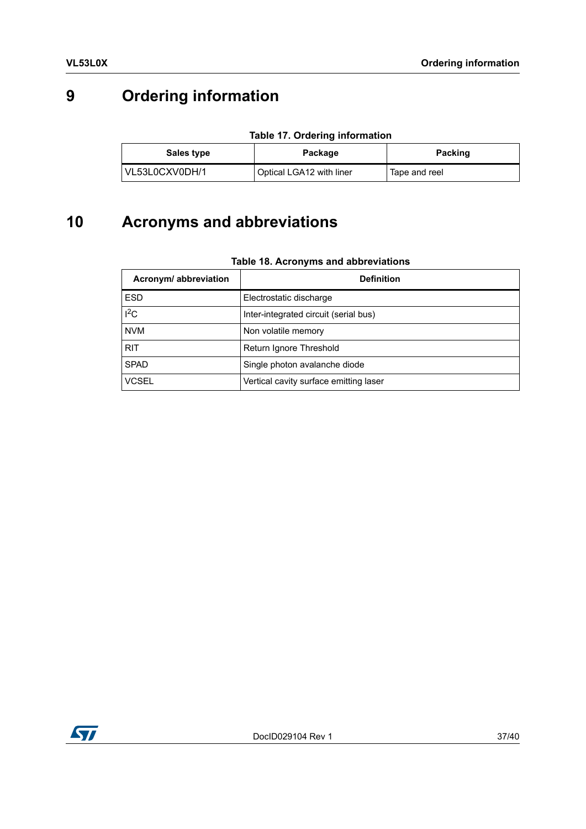# <span id="page-36-0"></span>**9 Ordering information**

| <b>Table 17. Ordering information</b> |  |
|---------------------------------------|--|
|---------------------------------------|--|

<span id="page-36-2"></span>

| Sales type     | Package                  | <b>Packing</b> |  |
|----------------|--------------------------|----------------|--|
| VL53L0CXV0DH/1 | Optical LGA12 with liner | Tape and reel  |  |

# <span id="page-36-1"></span>**10 Acronyms and abbreviations**

<span id="page-36-3"></span>

| Acronym/ abbreviation | <b>Definition</b>                      |  |
|-----------------------|----------------------------------------|--|
| <b>ESD</b>            | Electrostatic discharge                |  |
| $I^2C$                | Inter-integrated circuit (serial bus)  |  |
| <b>NVM</b>            | Non volatile memory                    |  |
| <b>RIT</b>            | Return Ignore Threshold                |  |
| <b>SPAD</b>           | Single photon avalanche diode          |  |
| <b>VCSEL</b>          | Vertical cavity surface emitting laser |  |

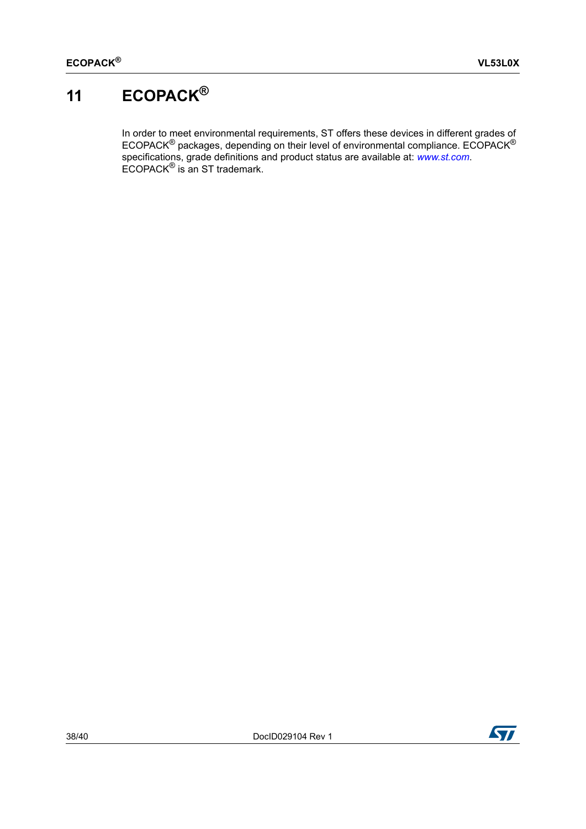# <span id="page-37-0"></span>**11 ECOPACK®**

In order to meet environmental requirements, ST offers these devices in different grades of ECOPACK<sup>®</sup> packages, depending on their level of environmental compliance. ECOPACK<sup>®</sup> specifications, grade definitions and product status are available at: *[www.st.com](http://www.st.com)*. ECOPACK® is an ST trademark.

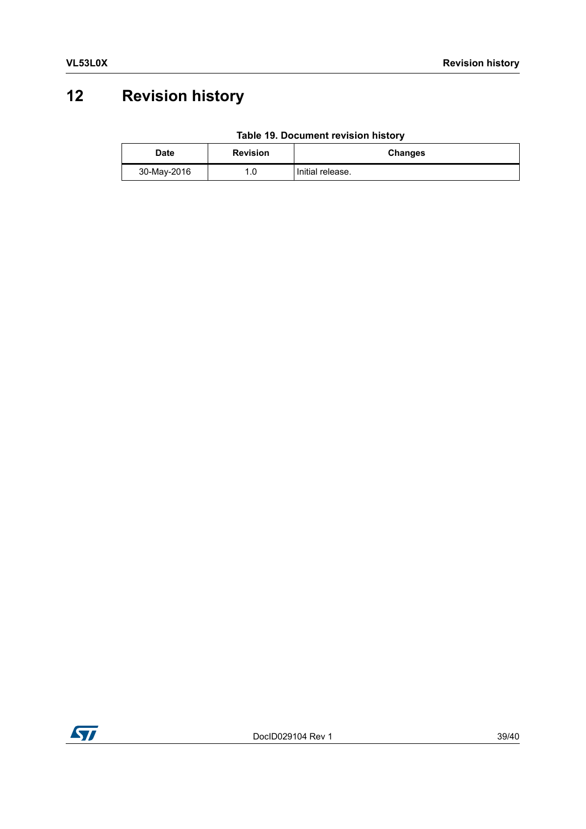# <span id="page-38-0"></span>**12 Revision history**

| Table 19. Document revision history |  |
|-------------------------------------|--|
|                                     |  |

<span id="page-38-1"></span>

| <b>Date</b> | <b>Revision</b> | <b>Changes</b>   |
|-------------|-----------------|------------------|
| 30-May-2016 | .0              | Initial release. |